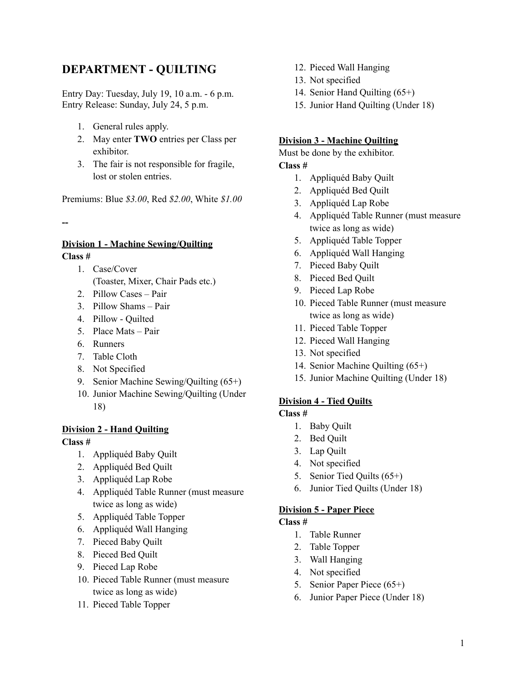# **DEPARTMENT - QUILTING**

Entry Day: Tuesday, July 19, 10 a.m. - 6 p.m. Entry Release: Sunday, July 24, 5 p.m.

- 1. General rules apply.
- 2. May enter **TWO** entries per Class per exhibitor.
- 3. The fair is not responsible for fragile, lost or stolen entries.

Premiums: Blue *\$3.00*, Red *\$2.00*, White *\$1.00*

**--**

## **Division 1 - Machine Sewing/Quilting Class #**

- 1. Case/Cover
	- (Toaster, Mixer, Chair Pads etc.)
- 2. Pillow Cases Pair
- 3. Pillow Shams Pair
- 4. Pillow Quilted
- 5. Place Mats Pair
- 6. Runners
- 7. Table Cloth
- 8. Not Specified
- 9. Senior Machine Sewing/Quilting (65+)
- 10. Junior Machine Sewing/Quilting (Under 18)

# **Division 2 - Hand Quilting**

### **Class #**

- 1. Appliquéd Baby Quilt
- 2. Appliquéd Bed Quilt
- 3. Appliquéd Lap Robe
- 4. Appliquéd Table Runner (must measure twice as long as wide)
- 5. Appliquéd Table Topper
- 6. Appliquéd Wall Hanging
- 7. Pieced Baby Quilt
- 8. Pieced Bed Quilt
- 9. Pieced Lap Robe
- 10. Pieced Table Runner (must measure twice as long as wide)
- 11. Pieced Table Topper
- 12. Pieced Wall Hanging
- 13. Not specified
- 14. Senior Hand Quilting (65+)
- 15. Junior Hand Quilting (Under 18)

### **Division 3 - Machine Quilting**

Must be done by the exhibitor. **Class #**

- 1. Appliquéd Baby Quilt
- 2. Appliquéd Bed Quilt
- 3. Appliquéd Lap Robe
- 4. Appliquéd Table Runner (must measure twice as long as wide)
- 5. Appliquéd Table Topper
- 6. Appliquéd Wall Hanging
- 7. Pieced Baby Quilt
- 8. Pieced Bed Quilt
- 9. Pieced Lap Robe
- 10. Pieced Table Runner (must measure twice as long as wide)
- 11. Pieced Table Topper
- 12. Pieced Wall Hanging
- 13. Not specified
- 14. Senior Machine Quilting (65+)
- 15. Junior Machine Quilting (Under 18)

### **Division 4 - Tied Quilts**

## **Class #**

- 1. Baby Quilt
- 2. Bed Quilt
- 3. Lap Quilt
- 4. Not specified
- 5. Senior Tied Quilts (65+)
- 6. Junior Tied Quilts (Under 18)

# **Division 5 - Paper Piece**

## **Class #**

- 1. Table Runner
- 2. Table Topper
- 3. Wall Hanging
- 4. Not specified
- 5. Senior Paper Piece (65+)
- 6. Junior Paper Piece (Under 18)